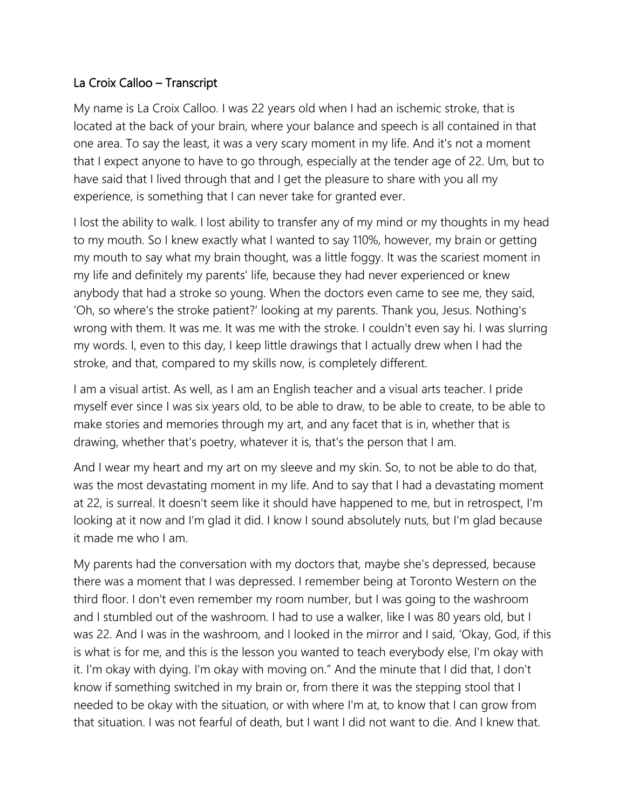## La Croix Calloo – Transcript

My name is La Croix Calloo. I was 22 years old when I had an ischemic stroke, that is located at the back of your brain, where your balance and speech is all contained in that one area. To say the least, it was a very scary moment in my life. And it's not a moment that I expect anyone to have to go through, especially at the tender age of 22. Um, but to have said that I lived through that and I get the pleasure to share with you all my experience, is something that I can never take for granted ever.

I lost the ability to walk. I lost ability to transfer any of my mind or my thoughts in my head to my mouth. So I knew exactly what I wanted to say 110%, however, my brain or getting my mouth to say what my brain thought, was a little foggy. It was the scariest moment in my life and definitely my parents' life, because they had never experienced or knew anybody that had a stroke so young. When the doctors even came to see me, they said, 'Oh, so where's the stroke patient?' looking at my parents. Thank you, Jesus. Nothing's wrong with them. It was me. It was me with the stroke. I couldn't even say hi. I was slurring my words. I, even to this day, I keep little drawings that I actually drew when I had the stroke, and that, compared to my skills now, is completely different.

I am a visual artist. As well, as I am an English teacher and a visual arts teacher. I pride myself ever since I was six years old, to be able to draw, to be able to create, to be able to make stories and memories through my art, and any facet that is in, whether that is drawing, whether that's poetry, whatever it is, that's the person that I am.

And I wear my heart and my art on my sleeve and my skin. So, to not be able to do that, was the most devastating moment in my life. And to say that I had a devastating moment at 22, is surreal. It doesn't seem like it should have happened to me, but in retrospect, I'm looking at it now and I'm glad it did. I know I sound absolutely nuts, but I'm glad because it made me who I am.

My parents had the conversation with my doctors that, maybe she's depressed, because there was a moment that I was depressed. I remember being at Toronto Western on the third floor. I don't even remember my room number, but I was going to the washroom and I stumbled out of the washroom. I had to use a walker, like I was 80 years old, but I was 22. And I was in the washroom, and I looked in the mirror and I said, 'Okay, God, if this is what is for me, and this is the lesson you wanted to teach everybody else, I'm okay with it. I'm okay with dying. I'm okay with moving on." And the minute that I did that, I don't know if something switched in my brain or, from there it was the stepping stool that I needed to be okay with the situation, or with where I'm at, to know that I can grow from that situation. I was not fearful of death, but I want I did not want to die. And I knew that.